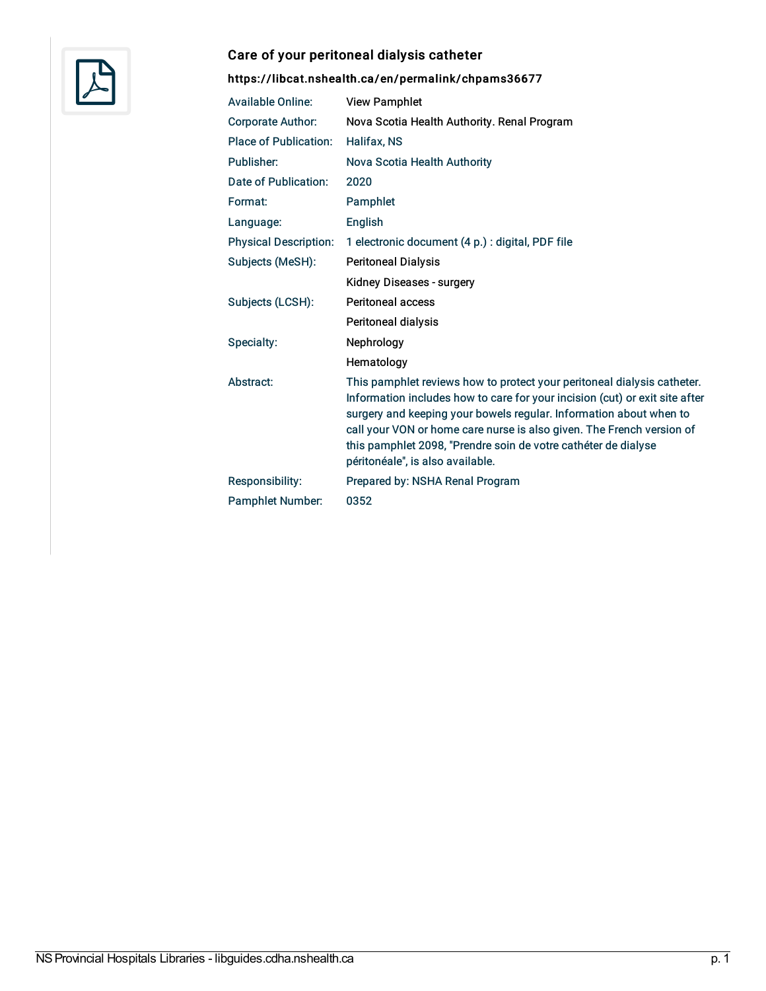

### Care of your peritoneal dialysis catheter

| <b>Available Online:</b>     | <b>View Pamphlet</b>                                                                                                                                                                                                                                                                                                                                                                                        |
|------------------------------|-------------------------------------------------------------------------------------------------------------------------------------------------------------------------------------------------------------------------------------------------------------------------------------------------------------------------------------------------------------------------------------------------------------|
| <b>Corporate Author:</b>     | Nova Scotia Health Authority. Renal Program                                                                                                                                                                                                                                                                                                                                                                 |
| <b>Place of Publication:</b> | Halifax, NS                                                                                                                                                                                                                                                                                                                                                                                                 |
| Publisher:                   | Nova Scotia Health Authority                                                                                                                                                                                                                                                                                                                                                                                |
| Date of Publication:         | 2020                                                                                                                                                                                                                                                                                                                                                                                                        |
| Format:                      | Pamphlet                                                                                                                                                                                                                                                                                                                                                                                                    |
| Language:                    | <b>English</b>                                                                                                                                                                                                                                                                                                                                                                                              |
| <b>Physical Description:</b> | 1 electronic document (4 p.) : digital, PDF file                                                                                                                                                                                                                                                                                                                                                            |
| Subjects (MeSH):             | <b>Peritoneal Dialysis</b>                                                                                                                                                                                                                                                                                                                                                                                  |
|                              | Kidney Diseases - surgery                                                                                                                                                                                                                                                                                                                                                                                   |
| Subjects (LCSH):             | Peritoneal access                                                                                                                                                                                                                                                                                                                                                                                           |
|                              | Peritoneal dialysis                                                                                                                                                                                                                                                                                                                                                                                         |
| Specialty:                   | <b>Nephrology</b>                                                                                                                                                                                                                                                                                                                                                                                           |
|                              | Hematology                                                                                                                                                                                                                                                                                                                                                                                                  |
| Abstract:                    | This pamphlet reviews how to protect your peritoneal dialysis catheter.<br>Information includes how to care for your incision (cut) or exit site after<br>surgery and keeping your bowels regular. Information about when to<br>call your VON or home care nurse is also given. The French version of<br>this pamphlet 2098, "Prendre soin de votre cathéter de dialyse<br>péritonéale", is also available. |
| Responsibility:              | Prepared by: NSHA Renal Program                                                                                                                                                                                                                                                                                                                                                                             |
| <b>Pamphlet Number:</b>      | 0352                                                                                                                                                                                                                                                                                                                                                                                                        |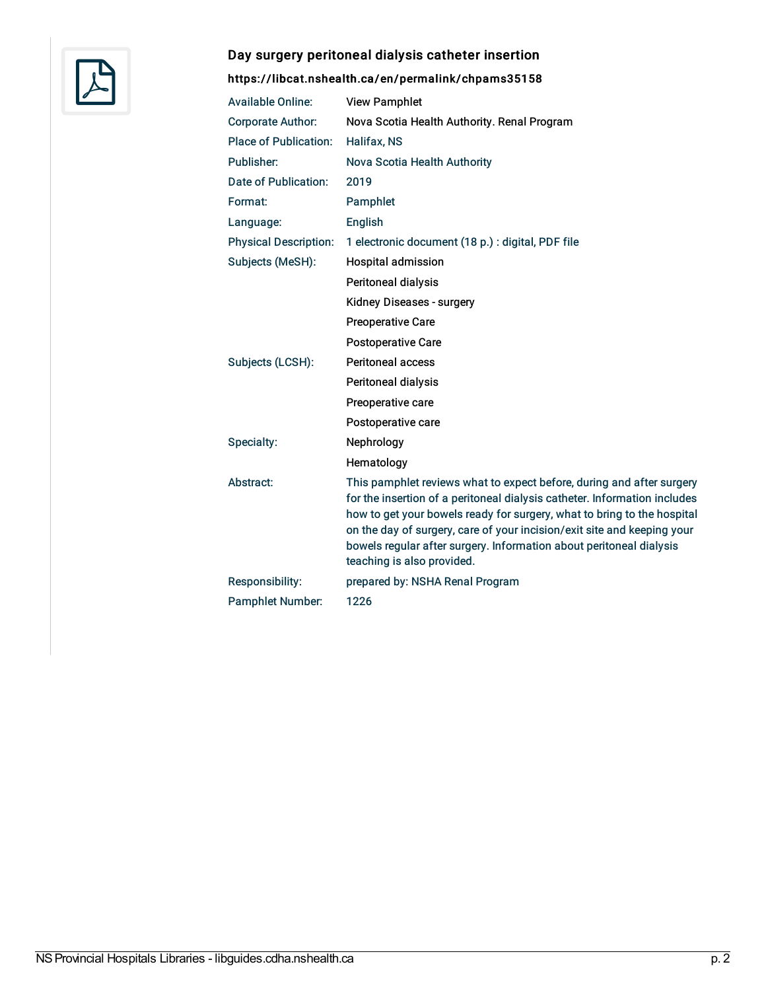

#### Day surgery peritoneal dialysis catheter insertion

| <b>Available Online:</b>     | <b>View Pamphlet</b>                                                                                                                                                                                                                                                                                                                                                                                          |
|------------------------------|---------------------------------------------------------------------------------------------------------------------------------------------------------------------------------------------------------------------------------------------------------------------------------------------------------------------------------------------------------------------------------------------------------------|
| <b>Corporate Author:</b>     | Nova Scotia Health Authority. Renal Program                                                                                                                                                                                                                                                                                                                                                                   |
| <b>Place of Publication:</b> | Halifax, NS                                                                                                                                                                                                                                                                                                                                                                                                   |
| Publisher:                   | Nova Scotia Health Authority                                                                                                                                                                                                                                                                                                                                                                                  |
| Date of Publication:         | 2019                                                                                                                                                                                                                                                                                                                                                                                                          |
| Format:                      | Pamphlet                                                                                                                                                                                                                                                                                                                                                                                                      |
| Language:                    | English                                                                                                                                                                                                                                                                                                                                                                                                       |
| <b>Physical Description:</b> | 1 electronic document (18 p.) : digital, PDF file                                                                                                                                                                                                                                                                                                                                                             |
| Subjects (MeSH):             | Hospital admission                                                                                                                                                                                                                                                                                                                                                                                            |
|                              | Peritoneal dialysis                                                                                                                                                                                                                                                                                                                                                                                           |
|                              | Kidney Diseases - surgery                                                                                                                                                                                                                                                                                                                                                                                     |
|                              | <b>Preoperative Care</b>                                                                                                                                                                                                                                                                                                                                                                                      |
|                              | Postoperative Care                                                                                                                                                                                                                                                                                                                                                                                            |
| Subjects (LCSH):             | <b>Peritoneal access</b>                                                                                                                                                                                                                                                                                                                                                                                      |
|                              | Peritoneal dialysis                                                                                                                                                                                                                                                                                                                                                                                           |
|                              | Preoperative care                                                                                                                                                                                                                                                                                                                                                                                             |
|                              | Postoperative care                                                                                                                                                                                                                                                                                                                                                                                            |
| Specialty:                   | Nephrology                                                                                                                                                                                                                                                                                                                                                                                                    |
|                              | Hematology                                                                                                                                                                                                                                                                                                                                                                                                    |
| Abstract:                    | This pamphlet reviews what to expect before, during and after surgery<br>for the insertion of a peritoneal dialysis catheter. Information includes<br>how to get your bowels ready for surgery, what to bring to the hospital<br>on the day of surgery, care of your incision/exit site and keeping your<br>bowels regular after surgery. Information about peritoneal dialysis<br>teaching is also provided. |
| Responsibility:              | prepared by: NSHA Renal Program                                                                                                                                                                                                                                                                                                                                                                               |
| <b>Pamphlet Number:</b>      | 1226                                                                                                                                                                                                                                                                                                                                                                                                          |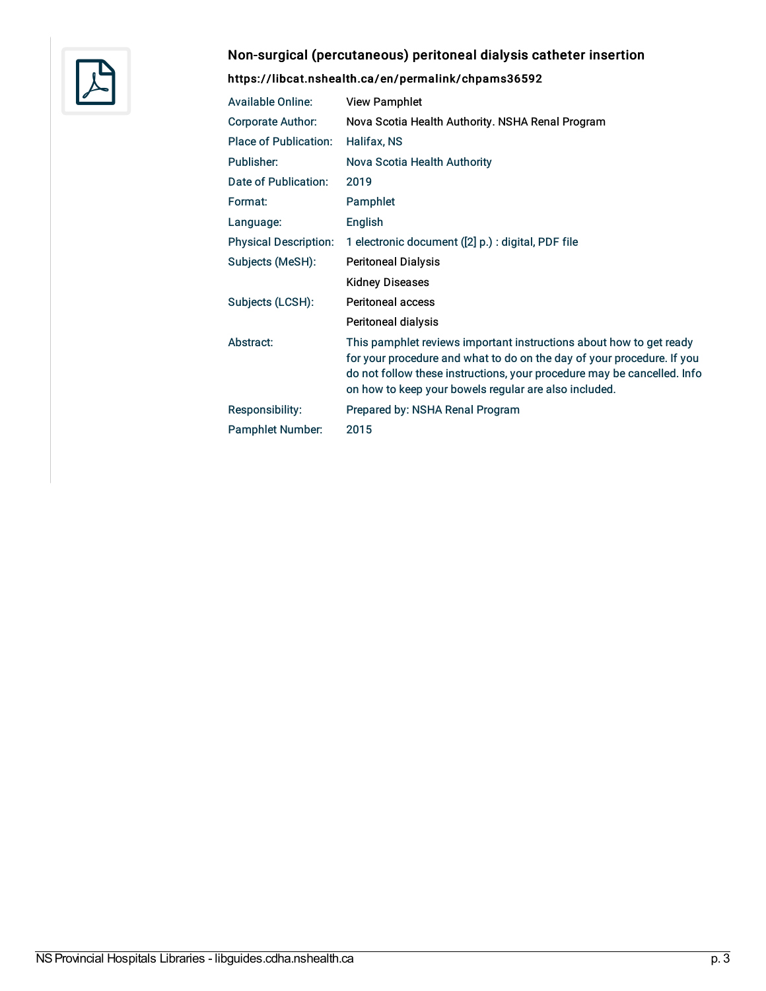

# Non-surgical (percutaneous) peritoneal dialysis catheter insertion

| <b>Available Online:</b>     | <b>View Pamphlet</b>                                                                                                                                                                                                                                                              |
|------------------------------|-----------------------------------------------------------------------------------------------------------------------------------------------------------------------------------------------------------------------------------------------------------------------------------|
| <b>Corporate Author:</b>     | Nova Scotia Health Authority. NSHA Renal Program                                                                                                                                                                                                                                  |
| <b>Place of Publication:</b> | Halifax, NS                                                                                                                                                                                                                                                                       |
| Publisher:                   | Nova Scotia Health Authority                                                                                                                                                                                                                                                      |
| Date of Publication:         | 2019                                                                                                                                                                                                                                                                              |
| Format:                      | Pamphlet                                                                                                                                                                                                                                                                          |
| Language:                    | English                                                                                                                                                                                                                                                                           |
| <b>Physical Description:</b> | 1 electronic document ([2] p.) : digital, PDF file                                                                                                                                                                                                                                |
| Subjects (MeSH):             | <b>Peritoneal Dialysis</b>                                                                                                                                                                                                                                                        |
|                              | <b>Kidney Diseases</b>                                                                                                                                                                                                                                                            |
| Subjects (LCSH):             | <b>Peritoneal access</b>                                                                                                                                                                                                                                                          |
|                              | Peritoneal dialysis                                                                                                                                                                                                                                                               |
| Abstract:                    | This pamphlet reviews important instructions about how to get ready<br>for your procedure and what to do on the day of your procedure. If you<br>do not follow these instructions, your procedure may be cancelled. Info<br>on how to keep your bowels regular are also included. |
| Responsibility:              | Prepared by: NSHA Renal Program                                                                                                                                                                                                                                                   |
| <b>Pamphlet Number:</b>      | 2015                                                                                                                                                                                                                                                                              |